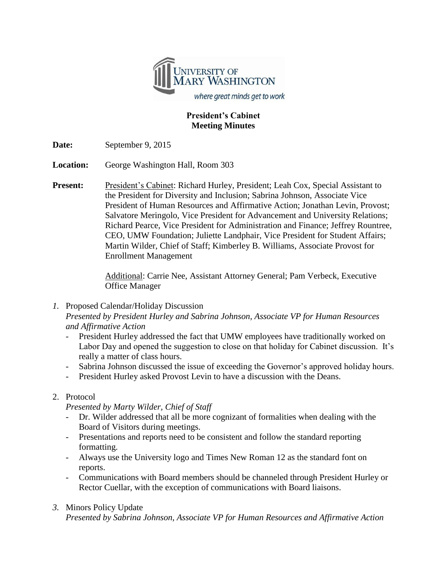

### **President's Cabinet Meeting Minutes**

**Date:** September 9, 2015

**Location:** George Washington Hall, Room 303

**Present:** President's Cabinet: Richard Hurley, President; Leah Cox, Special Assistant to the President for Diversity and Inclusion; Sabrina Johnson, Associate Vice President of Human Resources and Affirmative Action; Jonathan Levin, Provost; Salvatore Meringolo, Vice President for Advancement and University Relations; Richard Pearce, Vice President for Administration and Finance; Jeffrey Rountree, CEO, UMW Foundation; Juliette Landphair, Vice President for Student Affairs; Martin Wilder, Chief of Staff; Kimberley B. Williams, Associate Provost for Enrollment Management

> Additional: Carrie Nee, Assistant Attorney General; Pam Verbeck, Executive Office Manager

- *1.* Proposed Calendar/Holiday Discussion *Presented by President Hurley and Sabrina Johnson, Associate VP for Human Resources and Affirmative Action*
	- President Hurley addressed the fact that UMW employees have traditionally worked on Labor Day and opened the suggestion to close on that holiday for Cabinet discussion. It's really a matter of class hours.
	- Sabrina Johnson discussed the issue of exceeding the Governor's approved holiday hours.
	- President Hurley asked Provost Levin to have a discussion with the Deans.

# 2. Protocol

*Presented by Marty Wilder, Chief of Staff*

- Dr. Wilder addressed that all be more cognizant of formalities when dealing with the Board of Visitors during meetings.
- Presentations and reports need to be consistent and follow the standard reporting formatting.
- Always use the University logo and Times New Roman 12 as the standard font on reports.
- Communications with Board members should be channeled through President Hurley or Rector Cuellar, with the exception of communications with Board liaisons.

# *3.* Minors Policy Update

*Presented by Sabrina Johnson, Associate VP for Human Resources and Affirmative Action*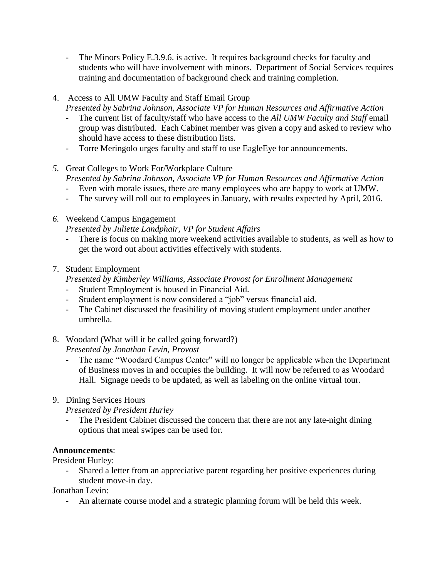- The Minors Policy E.3.9.6. is active. It requires background checks for faculty and students who will have involvement with minors. Department of Social Services requires training and documentation of background check and training completion.
- 4. Access to All UMW Faculty and Staff Email Group
	- *Presented by Sabrina Johnson, Associate VP for Human Resources and Affirmative Action*
	- The current list of faculty/staff who have access to the *All UMW Faculty and Staff* email group was distributed. Each Cabinet member was given a copy and asked to review who should have access to these distribution lists.
	- Torre Meringolo urges faculty and staff to use EagleEye for announcements.
- *5.* Great Colleges to Work For/Workplace Culture

*Presented by Sabrina Johnson, Associate VP for Human Resources and Affirmative Action*

- Even with morale issues, there are many employees who are happy to work at UMW.
- The survey will roll out to employees in January, with results expected by April, 2016.
- *6.* Weekend Campus Engagement

*Presented by Juliette Landphair, VP for Student Affairs*

- There is focus on making more weekend activities available to students, as well as how to get the word out about activities effectively with students.
- 7. Student Employment

*Presented by Kimberley Williams, Associate Provost for Enrollment Management*

- Student Employment is housed in Financial Aid.
- Student employment is now considered a "job" versus financial aid.
- The Cabinet discussed the feasibility of moving student employment under another umbrella.
- 8. Woodard (What will it be called going forward?) *Presented by Jonathan Levin, Provost*
	- The name "Woodard Campus Center" will no longer be applicable when the Department of Business moves in and occupies the building. It will now be referred to as Woodard Hall. Signage needs to be updated, as well as labeling on the online virtual tour.
- 9. Dining Services Hours

*Presented by President Hurley*

The President Cabinet discussed the concern that there are not any late-night dining options that meal swipes can be used for.

# **Announcements**:

President Hurley:

- Shared a letter from an appreciative parent regarding her positive experiences during student move-in day.

Jonathan Levin:

- An alternate course model and a strategic planning forum will be held this week.